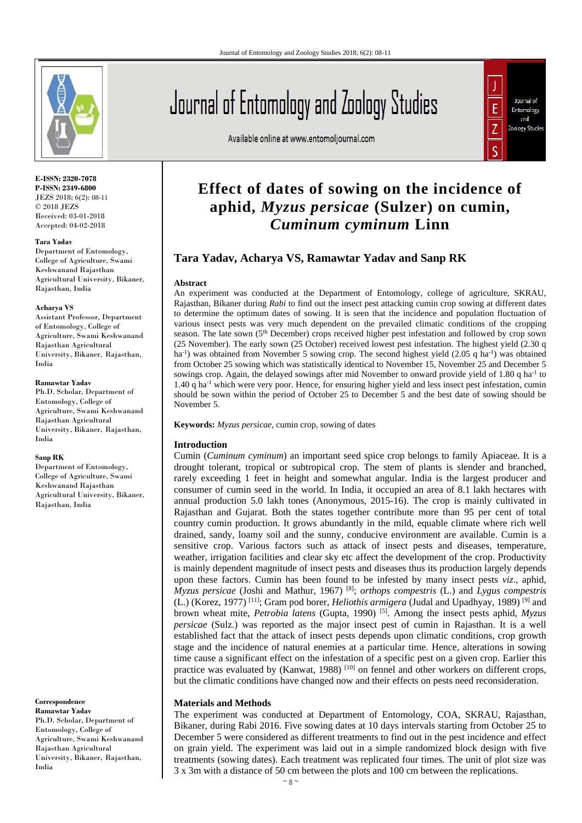

**E-ISSN: 2320-7078 P-ISSN: 2349-6800** JEZS 2018; 6(2): 08-11 © 2018 JEZS Received: 03-01-2018 Accepted: 04-02-2018

#### **Tara Yadav**

Department of Entomology, College of Agriculture, Swami Keshwanand Rajasthan Agricultural University, Bikaner, Rajasthan, India

#### **Acharya VS**

Assistant Professor, Department of Entomology, College of Agriculture, Swami Keshwanand Rajasthan Agricultural University, Bikaner, Rajasthan, India

#### **Ramawtar Yadav**

Ph.D. Scholar, Department of Entomology, College of Agriculture, Swami Keshwanand Rajasthan Agricultural University, Bikaner, Rajasthan, India

#### **Sanp RK**

Department of Entomology, College of Agriculture, Swami Keshwanand Rajasthan Agricultural University, Bikaner, Rajasthan, India

**Correspondence Ramawtar Yadav** Ph.D. Scholar, Department of Entomology, College of Agriculture, Swami Keshwanand Rajasthan Agricultural University, Bikaner, Rajasthan, India

# Journal of Entomology and Zoology Studies

Available online at www.entomoljournal.com



# **Effect of dates of sowing on the incidence of aphid,** *Myzus persicae* **(Sulzer) on cumin,**  *Cuminum cyminum* **Linn**

# **Tara Yadav, Acharya VS, Ramawtar Yadav and Sanp RK**

#### **Abstract**

An experiment was conducted at the Department of Entomology, college of agriculture, SKRAU, Rajasthan, Bikaner during *Rabi* to find out the insect pest attacking cumin crop sowing at different dates to determine the optimum dates of sowing. It is seen that the incidence and population fluctuation of various insect pests was very much dependent on the prevailed climatic conditions of the cropping season. The late sown (5<sup>th</sup> December) crops received higher pest infestation and followed by crop sown (25 November). The early sown (25 October) received lowest pest infestation. The highest yield (2.30 q ha<sup>-1</sup>) was obtained from November 5 sowing crop. The second highest yield (2.05 q ha<sup>-1</sup>) was obtained from October 25 sowing which was statistically identical to November 15, November 25 and December 5 sowings crop. Again, the delayed sowings after mid November to onward provide yield of 1.80 q ha<sup>-1</sup> to 1.40 q ha<sup>-1</sup> which were very poor. Hence, for ensuring higher yield and less insect pest infestation, cumin should be sown within the period of October 25 to December 5 and the best date of sowing should be November 5.

**Keywords:** *Myzus persicae*, cumin crop, sowing of dates

# **Introduction**

Cumin (*Cuminum cyminum*) an important seed spice crop belongs to family Apiaceae. It is a drought tolerant, tropical or subtropical crop. The stem of plants is slender and branched, rarely exceeding 1 feet in height and somewhat angular. India is the largest producer and consumer of cumin seed in the world. In India, it occupied an area of 8.1 lakh hectares with annual production 5.0 lakh tones (Anonymous, 2015-16). The crop is mainly cultivated in Rajasthan and Gujarat. Both the states together contribute more than 95 per cent of total country cumin production. It grows abundantly in the mild, equable climate where rich well drained, sandy, loamy soil and the sunny, conducive environment are available. Cumin is a sensitive crop. Various factors such as attack of insect pests and diseases, temperature, weather, irrigation facilities and clear sky etc affect the development of the crop. Productivity is mainly dependent magnitude of insect pests and diseases thus its production largely depends upon these factors. Cumin has been found to be infested by many insect pests *viz*., aphid, *Myzus persicae* (Joshi and Mathur, 1967) [8]; *orthops compestris* (L.) and *Lygus compestris* (L.) (Korez, 1977) [11]; Gram pod borer, *Heliothis armigera* (Judal and Upadhyay, 1989) [9] and brown wheat mite, *Petrobia latens* (Gupta, 1990) [5] . Among the insect pests aphid, *Myzus persicae* (Sulz.) was reported as the major insect pest of cumin in Rajasthan. It is a well established fact that the attack of insect pests depends upon climatic conditions, crop growth stage and the incidence of natural enemies at a particular time. Hence, alterations in sowing time cause a significant effect on the infestation of a specific pest on a given crop. Earlier this practice was evaluated by (Kanwat, 1988) [10] on fennel and other workers on different crops, but the climatic conditions have changed now and their effects on pests need reconsideration.

#### **Materials and Methods**

The experiment was conducted at Department of Entomology, COA, SKRAU, Rajasthan, Bikaner, during Rabi 2016. Five sowing dates at 10 days intervals starting from October 25 to December 5 were considered as different treatments to find out in the pest incidence and effect on grain yield. The experiment was laid out in a simple randomized block design with five treatments (sowing dates). Each treatment was replicated four times. The unit of plot size was 3 x 3m with a distance of 50 cm between the plots and 100 cm between the replications.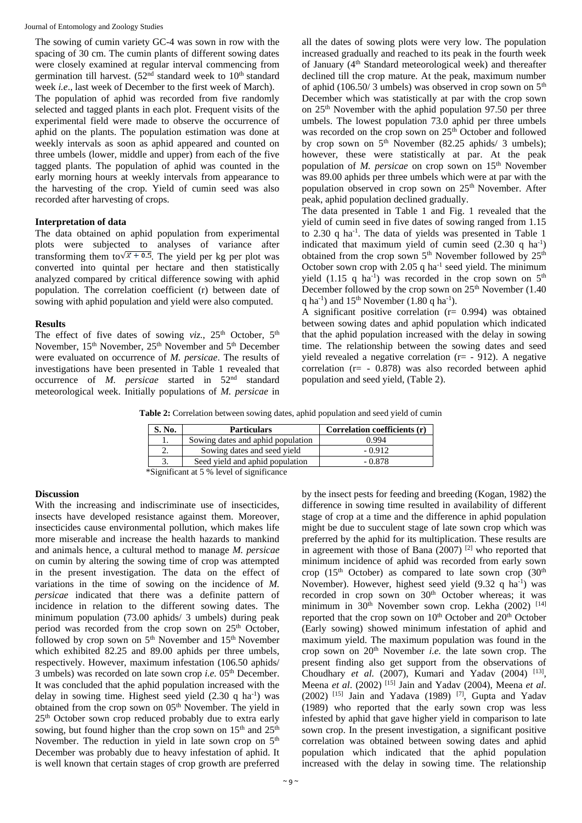The sowing of cumin variety GC-4 was sown in row with the spacing of 30 cm. The cumin plants of different sowing dates were closely examined at regular interval commencing from germination till harvest.  $(52<sup>nd</sup>$  standard week to  $10<sup>th</sup>$  standard week *i.e*., last week of December to the first week of March). The population of aphid was recorded from five randomly selected and tagged plants in each plot. Frequent visits of the experimental field were made to observe the occurrence of aphid on the plants. The population estimation was done at weekly intervals as soon as aphid appeared and counted on three umbels (lower, middle and upper) from each of the five tagged plants. The population of aphid was counted in the early morning hours at weekly intervals from appearance to the harvesting of the crop. Yield of cumin seed was also recorded after harvesting of crops.

#### **Interpretation of data**

The data obtained on aphid population from experimental plots were subjected to analyses of variance after transforming them to  $\sqrt{x + 0.5}$ . The yield per kg per plot was converted into quintal per hectare and then statistically analyzed compared by critical difference sowing with aphid population. The correlation coefficient (r) between date of sowing with aphid population and yield were also computed.

#### **Results**

The effect of five dates of sowing  $viz.$ ,  $25<sup>th</sup>$  October,  $5<sup>th</sup>$ November, 15<sup>th</sup> November, 25<sup>th</sup> November and 5<sup>th</sup> December were evaluated on occurrence of *M. persicae*. The results of investigations have been presented in Table 1 revealed that occurrence of *M. persicae* started in 52nd standard meteorological week. Initially populations of *M. persicae* in

all the dates of sowing plots were very low. The population increased gradually and reached to its peak in the fourth week of January (4th Standard meteorological week) and thereafter declined till the crop mature. At the peak, maximum number of aphid (106.50/3 umbels) was observed in crop sown on  $5<sup>th</sup>$ December which was statistically at par with the crop sown on  $25<sup>th</sup>$  November with the aphid population 97.50 per three umbels. The lowest population 73.0 aphid per three umbels was recorded on the crop sown on 25<sup>th</sup> October and followed by crop sown on  $5<sup>th</sup>$  November (82.25 aphids/ 3 umbels); however, these were statistically at par. At the peak population of *M. persicae* on crop sown on 15<sup>th</sup> November was 89.00 aphids per three umbels which were at par with the population observed in crop sown on 25<sup>th</sup> November. After peak, aphid population declined gradually.

The data presented in Table 1 and Fig. 1 revealed that the yield of cumin seed in five dates of sowing ranged from 1.15 to 2.30 q ha<sup>-1</sup>. The data of yields was presented in Table 1 indicated that maximum yield of cumin seed  $(2.30 \ q \ ha^{-1})$ obtained from the crop sown  $5<sup>th</sup>$  November followed by  $25<sup>th</sup>$ October sown crop with  $2.05$  q ha<sup>-1</sup> seed yield. The minimum yield (1.15 q ha<sup>-1</sup>) was recorded in the crop sown on  $5<sup>th</sup>$ December followed by the crop sown on  $25<sup>th</sup>$  November (1.40) q ha<sup>-1</sup>) and  $15<sup>th</sup>$  November (1.80 q ha<sup>-1</sup>).

A significant positive correlation  $(r= 0.994)$  was obtained between sowing dates and aphid population which indicated that the aphid population increased with the delay in sowing time. The relationship between the sowing dates and seed yield revealed a negative correlation (r= - 912). A negative correlation (r= - 0.878) was also recorded between aphid population and seed yield, (Table 2).

**Table 2:** Correlation between sowing dates, aphid population and seed yield of cumin

| S. No. | <b>Particulars</b>                | Correlation coefficients (r) |  |  |  |  |  |
|--------|-----------------------------------|------------------------------|--|--|--|--|--|
|        | Sowing dates and aphid population | 0.994                        |  |  |  |  |  |
| ۷.     | Sowing dates and seed yield       | $-0.912$                     |  |  |  |  |  |
|        | Seed yield and aphid population   | $-0.878$                     |  |  |  |  |  |

\*Significant at 5 % level of significance

# **Discussion**

With the increasing and indiscriminate use of insecticides, insects have developed resistance against them. Moreover, insecticides cause environmental pollution, which makes life more miserable and increase the health hazards to mankind and animals hence, a cultural method to manage *M. persicae* on cumin by altering the sowing time of crop was attempted in the present investigation. The data on the effect of variations in the time of sowing on the incidence of *M. persicae* indicated that there was a definite pattern of incidence in relation to the different sowing dates. The minimum population (73.00 aphids/ 3 umbels) during peak period was recorded from the crop sown on 25<sup>th</sup> October, followed by crop sown on 5<sup>th</sup> November and 15<sup>th</sup> November which exhibited 82.25 and 89.00 aphids per three umbels, respectively. However, maximum infestation (106.50 aphids/ 3 umbels) was recorded on late sown crop *i.e.* 05th December. It was concluded that the aphid population increased with the delay in sowing time. Highest seed yield (2.30 q ha<sup>-1</sup>) was obtained from the crop sown on  $05<sup>th</sup>$  November. The yield in 25th October sown crop reduced probably due to extra early sowing, but found higher than the crop sown on  $15<sup>th</sup>$  and  $25<sup>th</sup>$ November. The reduction in yield in late sown crop on 5<sup>th</sup> December was probably due to heavy infestation of aphid. It is well known that certain stages of crop growth are preferred

by the insect pests for feeding and breeding (Kogan, 1982) the difference in sowing time resulted in availability of different stage of crop at a time and the difference in aphid population might be due to succulent stage of late sown crop which was preferred by the aphid for its multiplication. These results are in agreement with those of Bana (2007) [2] who reported that minimum incidence of aphid was recorded from early sown crop (15<sup>th</sup> October) as compared to late sown crop (30<sup>th</sup>) November). However, highest seed yield (9.32 q ha<sup>-1</sup>) was recorded in crop sown on 30<sup>th</sup> October whereas; it was minimum in  $30<sup>th</sup>$  November sown crop. Lekha (2002) [14] reported that the crop sown on  $10<sup>th</sup>$  October and  $20<sup>th</sup>$  October (Early sowing) showed minimum infestation of aphid and maximum yield. The maximum population was found in the crop sown on 20th November *i.e.* the late sown crop. The present finding also get support from the observations of Choudhary *et al.* (2007), Kumari and Yadav (2004) <sup>[13]</sup>, Meena *et al*. (2002) [15] Jain and Yadav (2004), Meena *et al*.  $(2002)$ <sup>[15]</sup> Jain and Yadava  $(1989)$ <sup>[7]</sup>, Gupta and Yadav (1989) who reported that the early sown crop was less infested by aphid that gave higher yield in comparison to late sown crop. In the present investigation, a significant positive correlation was obtained between sowing dates and aphid population which indicated that the aphid population increased with the delay in sowing time. The relationship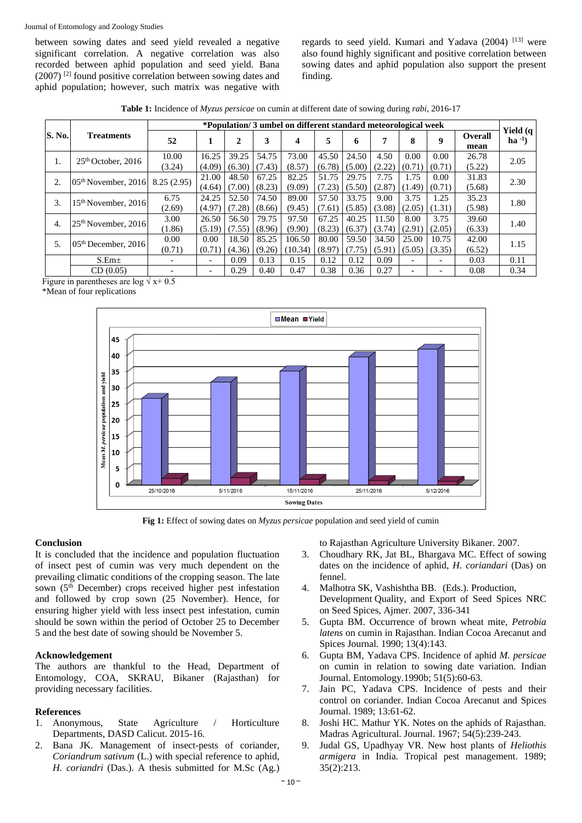between sowing dates and seed yield revealed a negative significant correlation. A negative correlation was also recorded between aphid population and seed yield. Bana (2007) [2] found positive correlation between sowing dates and aphid population; however, such matrix was negative with

regards to seed yield. Kumari and Yadava (2004) [13] were also found highly significant and positive correlation between sowing dates and aphid population also support the present finding.

**Table 1:** Incidence of *Myzus persicae* on cumin at different date of sowing during *rabi*, 2016-17

|               |                                 | *Population/3 umbel on different standard meteorological week |                          |                 |                 |                   |                 |                 |                 |                          |                          |                 |                              |
|---------------|---------------------------------|---------------------------------------------------------------|--------------------------|-----------------|-----------------|-------------------|-----------------|-----------------|-----------------|--------------------------|--------------------------|-----------------|------------------------------|
| <b>S. No.</b> | <b>Treatments</b>               | 52                                                            |                          | $\mathbf{2}$    | 3               | 4                 | 5               | 6               | 7               | 8                        | 9                        | Overall<br>mean | <b>Yield</b> (q<br>$ha^{-1}$ |
| 1.            | $25th$ October, 2016            | 10.00<br>(3.24)                                               | 16.25<br>(4.09)          | 39.25<br>(6.30) | 54.75<br>(7.43) | 73.00<br>(8.57)   | 45.50<br>(6.78) | 24.50<br>(5.00) | 4.50<br>(2.22)  | 0.00<br>(0.71)           | 0.00<br>(0.71)           | 26.78<br>(5.22) | 2.05                         |
| 2.            | $05th$ November, 2016           | 8.25(2.95)                                                    | 21.00<br>(4.64)          | 48.50<br>(7.00) | 67.25<br>(8.23) | 82.25<br>(9.09)   | 51.75<br>(7.23) | 29.75<br>(5.50) | 7.75<br>(2.87)  | 1.75<br>(1.49)           | 0.00<br>(0.71)           | 31.83<br>(5.68) | 2.30                         |
| 3.            | 15 <sup>th</sup> November, 2016 | 6.75<br>(2.69)                                                | 24.25<br>(4.97)          | 52.50<br>(7.28) | 74.50<br>(8.66) | 89.00<br>(9.45)   | 57.50<br>(7.61) | 33.75<br>(5.85) | 9.00<br>(3.08)  | 3.75<br>(2.05)           | 1.25<br>(1.31)           | 35.23<br>(5.98) | 1.80                         |
| 4.            | $25th$ November, 2016           | 3.00<br>(1.86)                                                | 26.50<br>(5.19)          | 56.50<br>(7.55) | 79.75<br>(8.96) | 97.50<br>(9.90)   | 67.25<br>(8.23) | 40.25<br>(6.37) | 11.50<br>(3.74) | 8.00<br>(2.91)           | 3.75<br>(2.05)           | 39.60<br>(6.33) | 1.40                         |
| 5.            | $05th$ December, 2016           | 0.00<br>(0.71)                                                | 0.00<br>(0.71)           | 18.50<br>(4.36) | 85.25<br>(9.26) | 106.50<br>(10.34) | 80.00<br>(8.97) | 59.50<br>(7.75) | 34.50<br>(5.91) | 25.00<br>(5.05)          | 10.75<br>(3.35)          | 42.00<br>(6.52) | 1.15                         |
|               | S.Em <sub>±</sub>               | -                                                             | $\overline{\phantom{0}}$ | 0.09            | 0.13            | 0.15              | 0.12            | 0.12            | 0.09            | $\overline{\phantom{0}}$ | $\overline{\phantom{0}}$ | 0.03            | 0.11                         |
|               | CD(0.05)                        |                                                               | $\overline{\phantom{0}}$ | 0.29            | 0.40            | 0.47              | 0.38            | 0.36            | 0.27            | $\overline{\phantom{0}}$ | $\overline{\phantom{0}}$ | 0.08            | 0.34                         |

Figure in parentheses are log  $\sqrt{x}$  + 0.5

\*Mean of four replications



**Fig 1:** Effect of sowing dates on *Myzus persicae* population and seed yield of cumin

# **Conclusion**

It is concluded that the incidence and population fluctuation of insect pest of cumin was very much dependent on the prevailing climatic conditions of the cropping season. The late sown (5<sup>th</sup> December) crops received higher pest infestation and followed by crop sown (25 November). Hence, for ensuring higher yield with less insect pest infestation, cumin should be sown within the period of October 25 to December 5 and the best date of sowing should be November 5.

# **Acknowledgement**

The authors are thankful to the Head, Department of Entomology, COA, SKRAU, Bikaner (Rajasthan) for providing necessary facilities.

# **References**

- 1. Anonymous, State Agriculture / Horticulture Departments, DASD Calicut. 2015-16.
- 2. Bana JK. Management of insect-pests of coriander, *Coriandrum sativum* (L.) with special reference to aphid, *H. coriandri* (Das.). A thesis submitted for M.Sc (Ag.)

to Rajasthan Agriculture University Bikaner. 2007.

- 3. Choudhary RK, Jat BL, Bhargava MC. Effect of sowing dates on the incidence of aphid, *H. coriandari* (Das) on fennel.
- 4. Malhotra SK, Vashishtha BB. (Eds.). Production, Development Quality, and Export of Seed Spices NRC on Seed Spices, Ajmer. 2007, 336-341
- 5. Gupta BM. Occurrence of brown wheat mite, *Petrobia latens* on cumin in Rajasthan. Indian Cocoa Arecanut and Spices Journal. 1990; 13(4):143.
- 6. Gupta BM, Yadava CPS. Incidence of aphid *M. persicae* on cumin in relation to sowing date variation. Indian Journal. Entomology*.*1990b; 51(5):60-63.
- 7. Jain PC, Yadava CPS. Incidence of pests and their control on coriander. Indian Cocoa Arecanut and Spices Journal. 1989; 13:61-62.
- 8. Joshi HC. Mathur YK. Notes on the aphids of Rajasthan. Madras Agricultural. Journal. 1967; 54(5):239-243.
- 9. Judal GS, Upadhyay VR. New host plants of *Heliothis armigera* in India. Tropical pest management. 1989; 35(2):213.